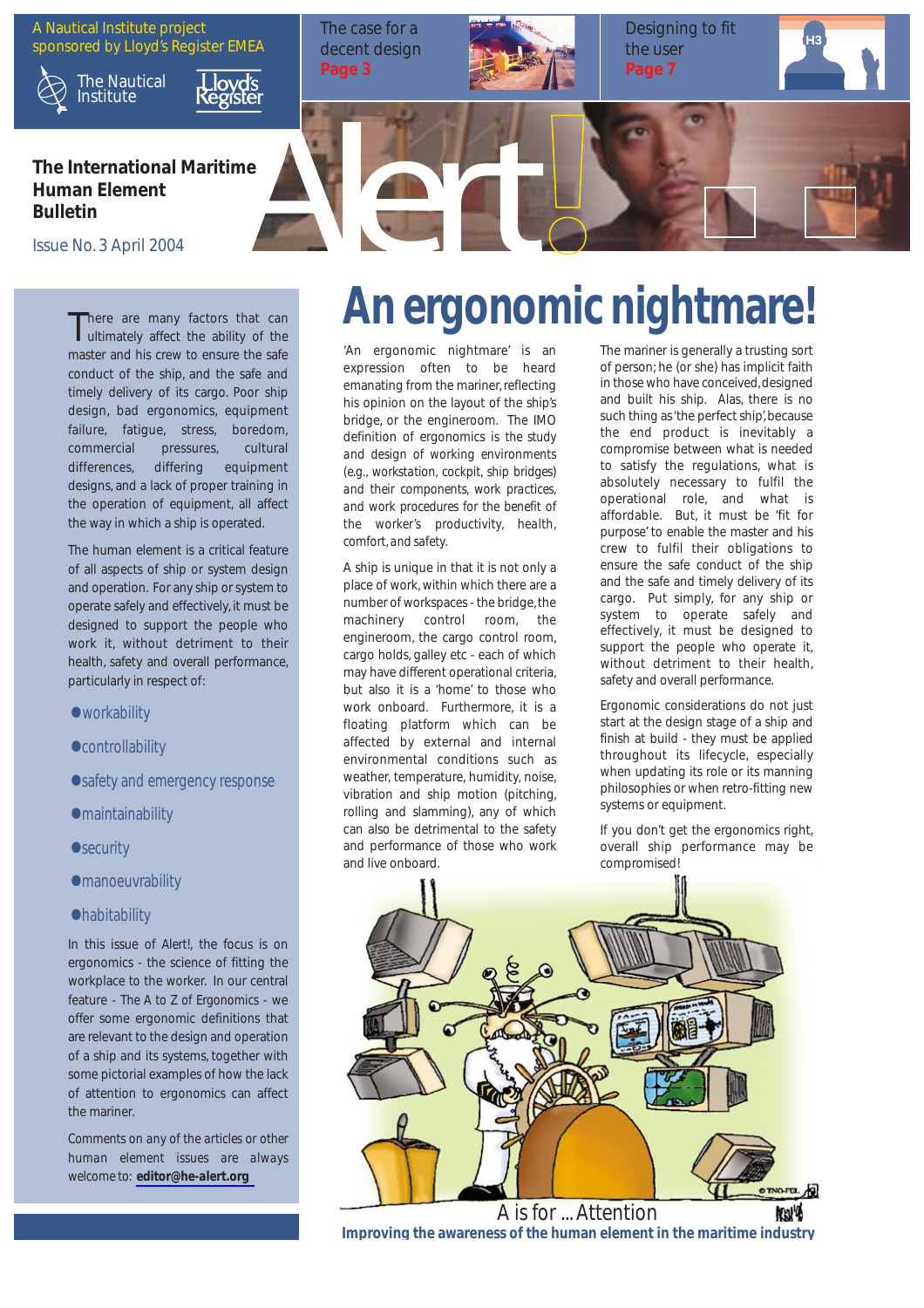A Nautical Institute project sponsored by Lloyd's Register EMEA





loyd's<br>:gister

#### **The International Maritime Human Element Bulletin**

Issue No. 3 April 2004

There are many factors that can<br>ultimately affect the ability of the master and his crew to ensure the safe conduct of the ship, and the safe and timely delivery of its cargo. Poor ship design, bad ergonomics, equipment failure, fatigue, stress, boredom, commercial pressures, cultural differences, differing equipment designs, and a lack of proper training in the operation of equipment, all affect the way in which a ship is operated.

The human element is a critical feature of all aspects of ship or system design and operation. For any ship or system to operate safely and effectively, it must be designed to support the people who work it, without detriment to their health, safety and overall performance, particularly in respect of:

- **•** workability
- **•** controllability
- **•** safety and emergency response
- **•** maintainability
- **•** security
- **•** manoeuvrability
- **•** habitability

In this issue of *Alert!,* the focus is on ergonomics - the science of fitting the workplace to the worker. In our central feature - *The A to Z of Ergonomics* - we offer some ergonomic definitions that are relevant to the design and operation of a ship and its systems, together with some pictorial examples of how the lack of attention to ergonomics can affect the mariner.

*Comments on any of the articles or other human element issues are always welcome to: [editor@he-alert.org](mailto:editor@he-alert.org)*



'An ergonomic nightmare' is an expression often to be heard emanating from the mariner, reflecting his opinion on the layout of the ship's bridge, or the engineroom. The IMO definition of ergonomics is *the study and design of working environments (e.g., workstation, cockpit, ship bridges) and their components, work practices, and work procedures for the benefit of the worker's productivity, health, comfort, and safety.*

The case for a decent design

**Page 3**

A ship is unique in that it is not only a place of work, within which there are a number of workspaces - the bridge, the machinery control room, the engineroom, the cargo control room, cargo holds, galley etc - each of which may have different operational criteria, but also it is a 'home' to those who work onboard. Furthermore, it is a floating platform which can be affected by external and internal environmental conditions such as weather, temperature, humidity, noise, vibration and ship motion (pitching, rolling and slamming), any of which can also be detrimental to the safety and performance of those who work and live onboard.

The mariner is generally a trusting sort of person; he (or she) has implicit faith in those who have conceived, designed and built his ship. Alas, there is no such thing as 'the perfect ship', because the end product is inevitably a compromise between what is needed to satisfy the regulations, what is absolutely necessary to fulfil the operational role, and what is affordable. But, it must be 'fit for purpose' to enable the master and his crew to fulfil their obligations to ensure the safe conduct of the ship and the safe and timely delivery of its cargo. Put simply, for any ship or system to operate safely and effectively, it must be designed to support the people who operate it, without detriment to their health, safety and overall performance.

**Designing to fit** 

the user **Page 7**

Ergonomic considerations do not just start at the design stage of a ship and finish at build - they must be applied throughout its lifecycle, especially when updating its role or its manning philosophies or when retro-fitting new systems or equipment.

If you don't get the ergonomics right, overall ship performance may be compromised!



A is for ... Attention ha " **Improving the awareness of the human element in the maritime industry**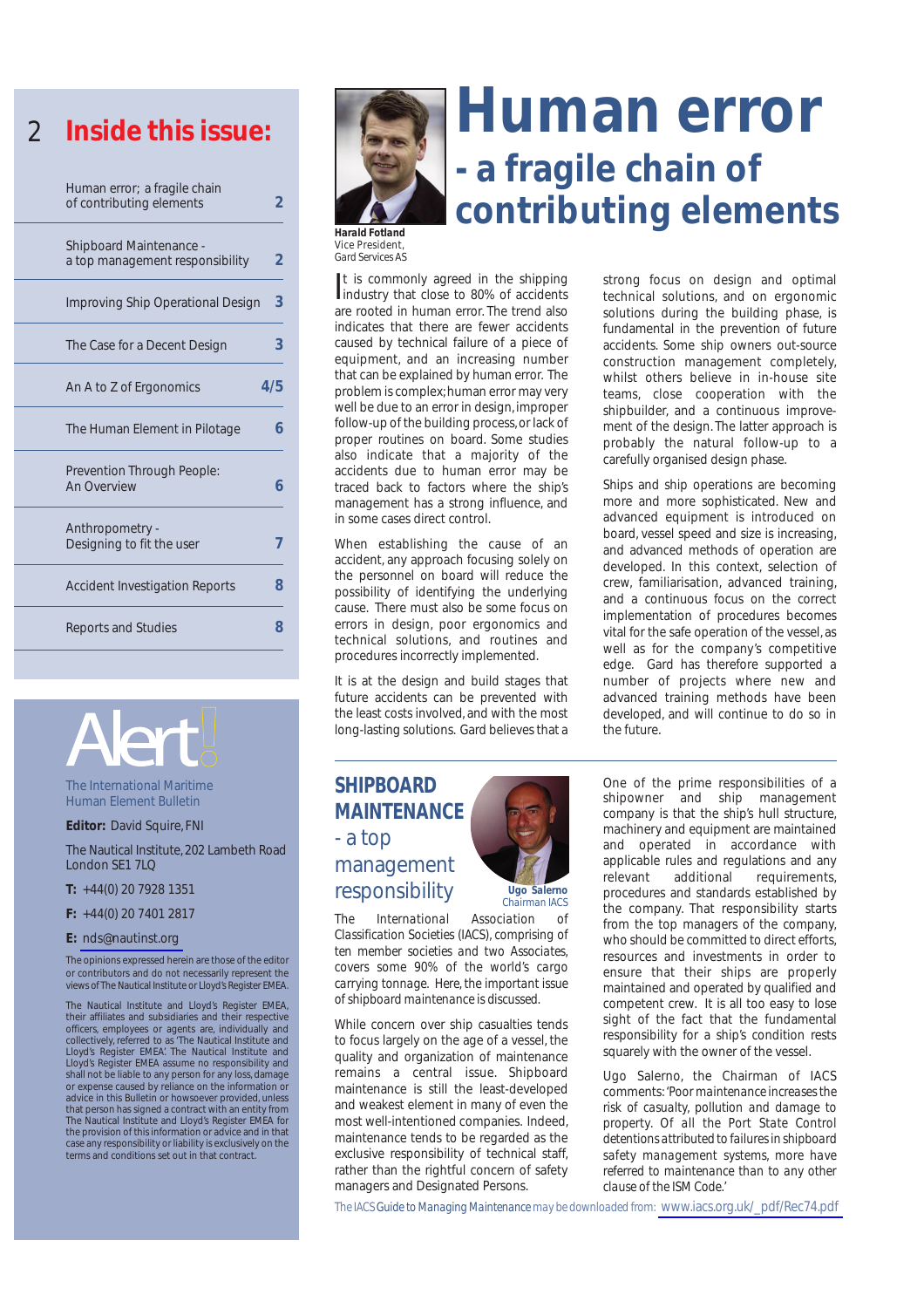### 2 **Inside this issue:**

| Human error; a fragile chain<br>of contributing elements   | ン   |
|------------------------------------------------------------|-----|
| Shipboard Maintenance -<br>a top management responsibility | 2   |
| Improving Ship Operational Design                          | 3   |
| The Case for a Decent Design                               | 3   |
| An A to Z of Ergonomics                                    | 4/5 |
| The Human Element in Pilotage                              | 6   |
| Prevention Through People:<br><b>An Overview</b>           | 6   |
| Anthropometry -<br>Designing to fit the user               |     |
| <b>Accident Investigation Reports</b>                      | 8   |
| <b>Reports and Studies</b>                                 | 8   |
|                                                            |     |

The International Maritime Human Element Bulletin

**Editor:** David Squire, FNI

The Nautical Institute, 202 Lambeth Road London SE1 7LQ

**T:** +44(0) 20 7928 1351

**F:** +44(0) 20 7401 2817

**E:** [nds@nautinst.org](mailto:nds@nautinst.org)

The opinions expressed herein are those of the editor or contributors and do not necessarily represent the views of The Nautical Institute or Lloyd's Register EMEA.

The Nautical Institute and Lloyd's Register EMEA, their affiliates and subsidiaries and their respective officers, employees or agents are, individually and collectively, referred to as 'The Nautical Institute and Lloyd's Register EMEA'. The Nautical Institute and Lloyd's Register EMEA assume no responsibility and shall not be liable to any person for any loss, damage or expense caused by reliance on the information or advice in this Bulletin or howsoever provided, unless that person has signed a contract with an entity from The Nautical Institute and Lloyd's Register EMEA for the provision of this information or advice and in that case any responsibility or liability is exclusively on the terms and conditions set out in that contract.



# **- a fragile chain of contributing elements Human error**

*Vice President, Gard Services AS*

It is commonly agreed in the shipping<br>industry that close to 80% of accidents t is commonly agreed in the shipping are rooted in human error. The trend also indicates that there are fewer accidents caused by technical failure of a piece of equipment, and an increasing number that can be explained by human error. The problem is complex; human error may very well be due to an error in design, improper follow-up of the building process, or lack of proper routines on board. Some studies also indicate that a majority of the accidents due to human error may be traced back to factors where the ship's management has a strong influence, and in some cases direct control.

When establishing the cause of an accident, any approach focusing solely on the personnel on board will reduce the possibility of identifying the underlying cause. There must also be some focus on errors in design, poor ergonomics and technical solutions, and routines and procedures incorrectly implemented.

It is at the design and build stages that future accidents can be prevented with the least costs involved, and with the most long-lasting solutions. Gard believes that a

### **SHIPBOARD MAINTENANCE** - a top management responsibility *Ugo Salerno*



*The International Association of Classification Societies (IACS), comprising of ten member societies and two Associates, covers some 90% of the world's cargo carrying tonnage. Here, the important issue of shipboard maintenance is discussed.*

While concern over ship casualties tends to focus largely on the age of a vessel, the quality and organization of maintenance remains a central issue. Shipboard maintenance is still the least-developed and weakest element in many of even the most well-intentioned companies. Indeed, maintenance tends to be regarded as the exclusive responsibility of technical staff, rather than the rightful concern of safety managers and Designated Persons.

strong focus on design and optimal technical solutions, and on ergonomic solutions during the building phase, is fundamental in the prevention of future accidents. Some ship owners out-source construction management completely, whilst others believe in in-house site teams, close cooperation with the shipbuilder, and a continuous improvement of the design. The latter approach is probably the natural follow-up to a carefully organised design phase.

Ships and ship operations are becoming more and more sophisticated. New and advanced equipment is introduced on board, vessel speed and size is increasing, and advanced methods of operation are developed. In this context, selection of crew, familiarisation, advanced training, and a continuous focus on the correct implementation of procedures becomes vital for the safe operation of the vessel, as well as for the company's competitive edge. Gard has therefore supported a number of projects where new and advanced training methods have been developed, and will continue to do so in the future.

One of the prime responsibilities of a shipowner and ship management company is that the ship's hull structure, machinery and equipment are maintained and operated in accordance with applicable rules and regulations and any relevant additional requirements, procedures and standards established by the company. That responsibility starts from the top managers of the company, who should be committed to direct efforts resources and investments in order to ensure that their ships are properly maintained and operated by qualified and competent crew. It is all too easy to lose sight of the fact that the fundamental responsibility for a ship's condition rests squarely with the owner of the vessel.

Ugo Salerno, the Chairman of IACS comments: *'Poor maintenance increases the risk of casualty, pollution and damage to property. Of all the Port State Control detentions attributed to failures in shipboard safety management systems, more have referred to maintenance than to any other clause of the ISM Code.'*

*The IACSGuide to Managing Maintenance may be downloaded from:* [www.iacs.org.uk/\\_pdf/Rec74.pdf](www.iacs.org.uk/_pdf/Rec74.pdf)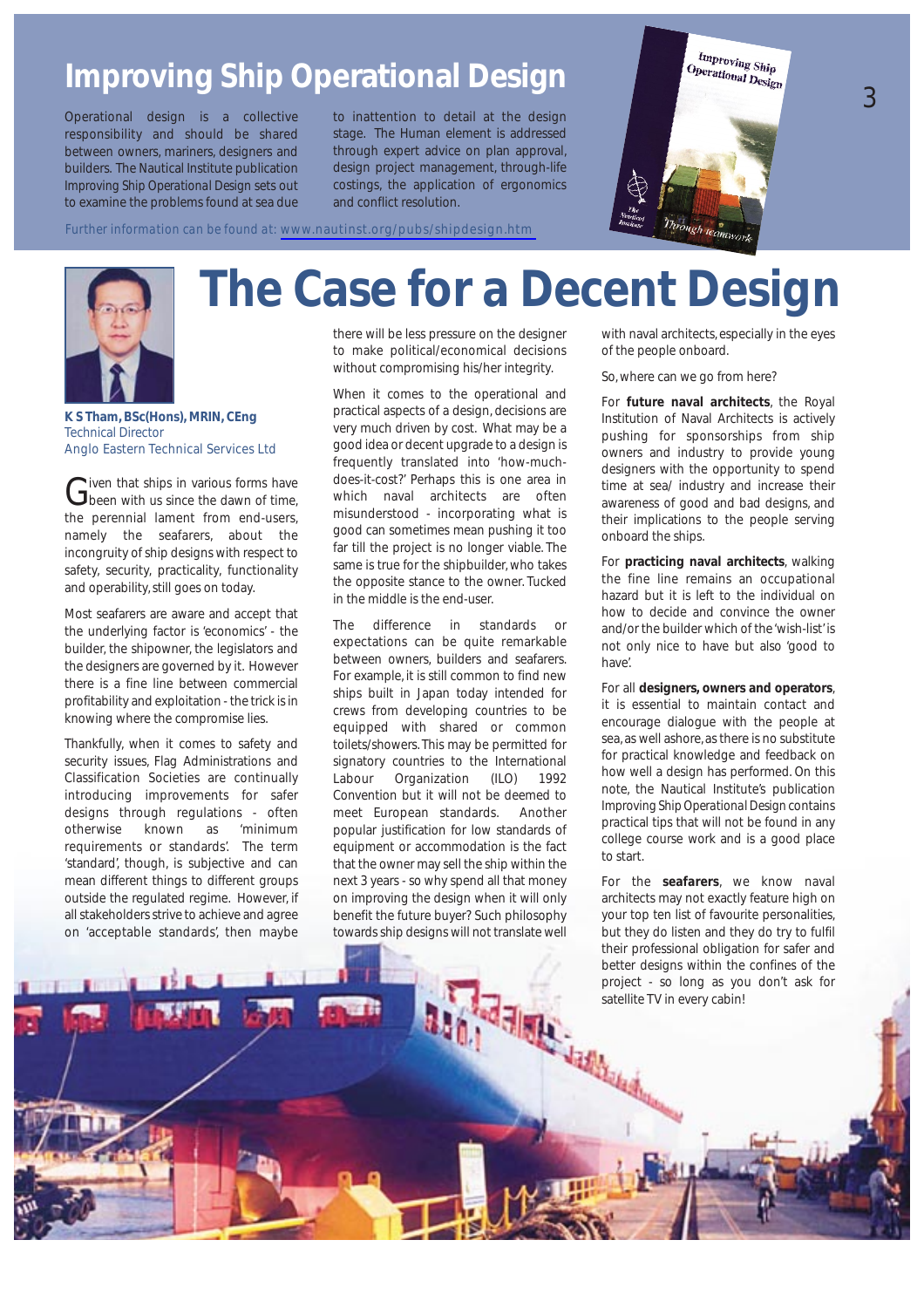### **Improving Ship Operational Design**

Operational design is a collective responsibility and should be shared between owners, mariners, designers and builders. The Nautical Institute publication *Improving Ship Operational Design* sets out to examine the problems found at sea due

Given that ships in various forms have<br>Gibeen with us since the dawn of time, the perennial lament from end-users, namely the seafarers, about the incongruity of ship designs with respect to safety, security, practicality, functionality and operability, still goes on today.

**K S Tham, BSc(Hons), MRIN, CEng**

Anglo Eastern Technical Services Ltd

Most seafarers are aware and accept that the underlying factor is 'economics' - the builder, the shipowner, the legislators and the designers are governed by it. However there is a fine line between commercial profitability and exploitation - the trick is in knowing where the compromise lies. Thankfully, when it comes to safety and security issues, Flag Administrations and Classification Societies are continually introducing improvements for safer designs through regulations - often otherwise known as 'minimum requirements or standards'. The term 'standard', though, is subjective and can mean different things to different groups outside the regulated regime. However, if all stakeholders strive to achieve and agree on 'acceptable standards', then maybe

to inattention to detail at the design stage. The Human element is addressed through expert advice on plan approval, design project management, through-life costings, the application of ergonomics and conflict resolution.

*Further information can be found at:* <www.nautinst.org/pubs/shipdesign.htm>



Technical Director

# **The Case for a Decent Design**

there will be less pressure on the designer to make political/economical decisions without compromising his/her integrity.

When it comes to the operational and practical aspects of a design, decisions are very much driven by cost. What may be a good idea or decent upgrade to a design is frequently translated into 'how-muchdoes-it-cost?' Perhaps this is one area in which naval architects are often misunderstood - incorporating what is good can sometimes mean pushing it too far till the project is no longer viable. The same is true for the shipbuilder, who takes the opposite stance to the owner. Tucked in the middle is the end-user.

The difference in standards or expectations can be quite remarkable between owners, builders and seafarers. For example, it is still common to find new ships built in Japan today intended for crews from developing countries to be equipped with shared or common toilets/showers. This may be permitted for signatory countries to the International Labour Organization (ILO) 1992 Convention but it will not be deemed to meet European standards. Another popular justification for low standards of equipment or accommodation is the fact that the owner may sell the ship within the next 3 years - so why spend all that money on improving the design when it will only benefit the future buyer? Such philosophy towards ship designs will not translate well

with naval architects, especially in the eyes of the people onboard.

**Improving Ship**<br>Perational D **Improving Ship**<br>**Operational Design** 

So, where can we go from here?

Through te.

For **future naval architects**, the Royal Institution of Naval Architects is actively pushing for sponsorships from ship owners and industry to provide young designers with the opportunity to spend time at sea/ industry and increase their awareness of good and bad designs, and their implications to the people serving onboard the ships.

For **practicing naval architects**, walking the fine line remains an occupational hazard but it is left to the individual on how to decide and convince the owner and/or the builder which of the 'wish-list' is not only nice to have but also 'good to have'.

For all **designers, owners and operators**, it is essential to maintain contact and encourage dialogue with the people at sea, as well ashore, as there is no substitute for practical knowledge and feedback on how well a design has performed. On this note, the Nautical Institute's publication *Improving Ship Operational Design* contains practical tips that will not be found in any college course work and is a good place to start.

For the **seafarers**, we know naval architects may not exactly feature high on your top ten list of favourite personalities, but they do listen and they do try to fulfil their professional obligation for safer and better designs within the confines of the project - so long as you don't ask for<br>satellite TV in every cabin!<br> satellite TV in every cabin!

3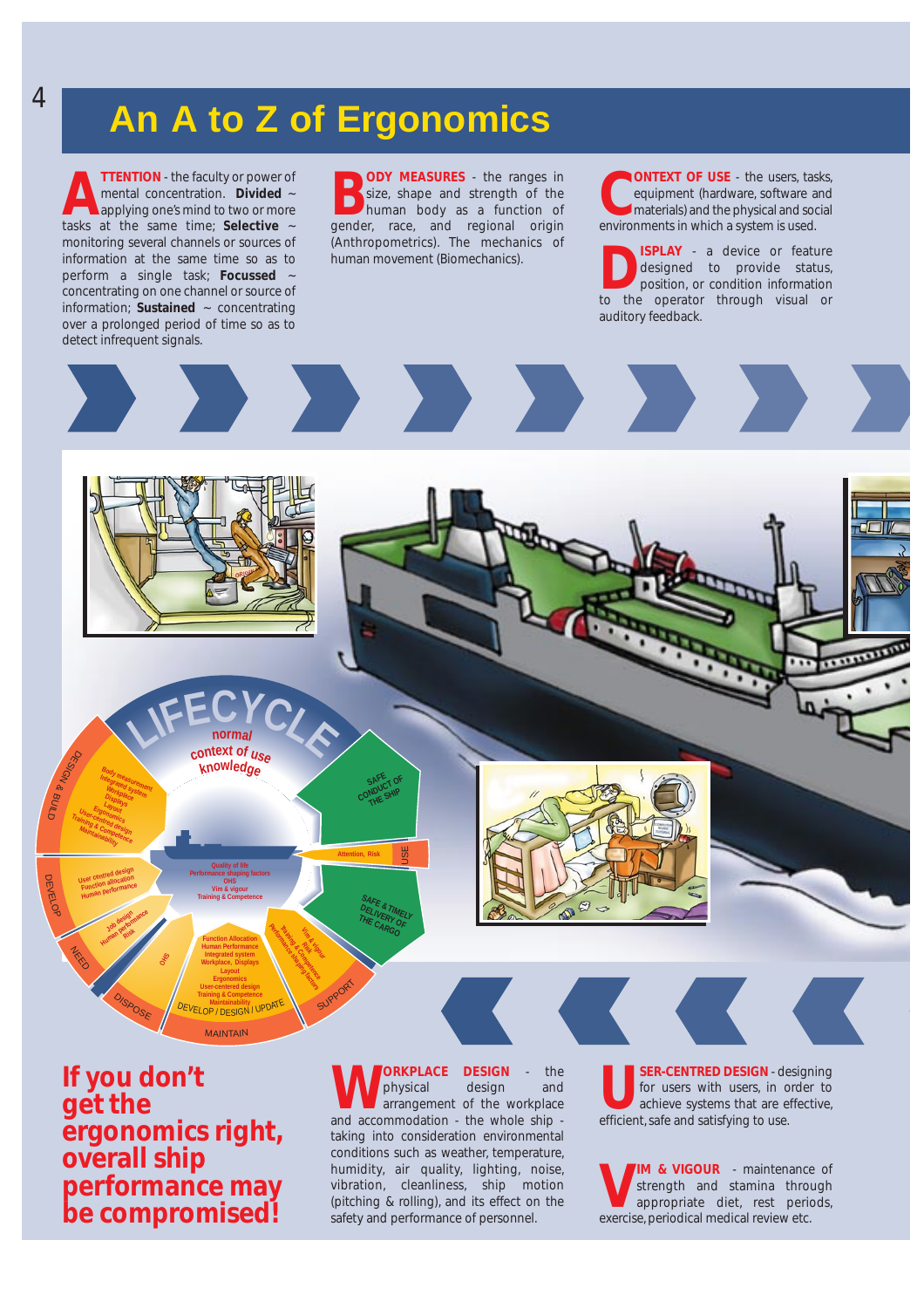### **An A to Z of Ergonomics**

**ATTENTION** - the faculty or power of<br>mental concentration. Divided ~<br>applying one's mind to two or more mental concentration. **Divided** ~ applying one's mind to two or more tasks at the same time; **Selective** ~ monitoring several channels or sources of information at the same time so as to perform a single task; **Focussed** ~ concentrating on one channel or source of information; **Sustained** ~ concentrating over a prolonged period of time so as to detect infrequent signals.

**BODY MEASURES** - the ranges in<br>size, shape and strength of the<br>human body as a function of size, shape and strength of the gender, race, and regional origin (Anthropometrics). The mechanics of human movement (Biomechanics).

**CONTEXT OF USE** - the users, tasks,<br>equipment (hardware, software and<br>materials) and the physical and social<br>equipments in which a system is used equipment (hardware, software and materials) and the physical and social environments in which a system is used.

**DISPLAY** - a device or feature<br>designed to provide status,<br>position, or condition information designed to provide status, position, or condition information to the operator through visual or auditory feedback.





Noys & දි LI D

**Integrated Wo system rkp lace isplays Layout Ergonomics** Us<sub>er-c</sub>rgonomics<br><sup>Vining & Centred design<br>Mainta: <sup>Comp</sup>asign</sup> **Training entred design<br>Maining & Competen<br>Maintainabilin.ence Maintainability**

**User centred design Ser centrollocation**<br>Function allocation **Human performance**

> Job design Human periormance **Risk**

EVELOP

**NEED** 

DISPOSE

**OHS**



MAINTAIN

**DEVELOP / DESIGN / UPDATE** 

**Function Allocation Human Performance Integrated system Workplace, Displays Layout Ergonomics User-centered design Training & Competence**

**Quality of life Performance shaping factors Vim & vigour Training & Competence**

SUPPORT

**Vin & vigour Risk Training & Competence**<br>Training & Competence<br>All Michael Back

USE

**SAFE & TIMELY<br>DELIVERY ELY**<br>THE VERY ELY **DELIVERY OF**<br>THE CAPY OF THE CARGO

**Attention, Risk**

**SAFE**  SAFET OF **NDU SHIP**<br>THE SHIP



**If you don't get the ergonomics right, overall ship performance may be compromised!**

**WORKPLACE DESIGN** - the<br>
physical design and<br>
arrangement of the workplace physical design and and accommodation - the whole ship taking into consideration environmental conditions such as weather, temperature, humidity, air quality, lighting, noise, vibration, cleanliness, ship motion (pitching & rolling), and its effect on the safety and performance of personnel.

**USER-CENTRED DESIGN** - designing<br>for users with users, in order to<br>achieve systems that are effective,<br>officient sets and satisfying to use. for users with users, in order to achieve systems that are effective, efficient, safe and satisfying to use.

**VIM & VIGOUR** - maintenance of strength and stamina through appropriate diet, rest periods, exercise, periodical medical review etc.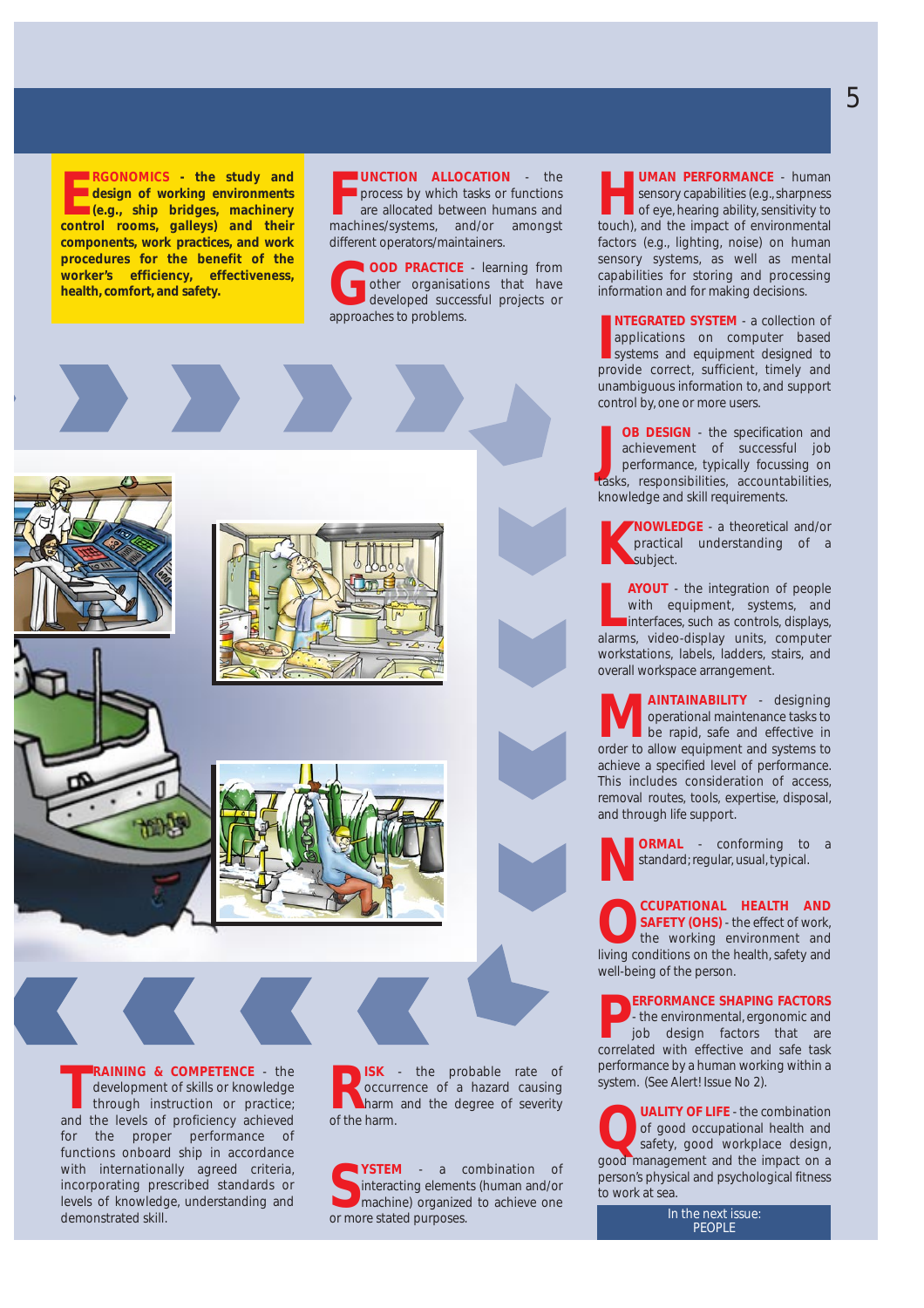**E** RGONOMICS - the study and<br>design of working environments<br>(e.g., ship bridges, machinery<br>control rooms gallow) and their **RGONOMICS - the study and design of working environments control rooms, galleys) and their components, work practices, and work procedures for the benefit of the worker's efficiency, effectiveness, health, comfort, and safety.**

**FR FRICON ALLOCATION** - the process by which tasks or functions are allocated between humans and machines/systems, and/or amongst **UNCTION ALLOCATION** - the process by which tasks or functions are allocated between humans and different operators/maintainers.

**GOOD PRACTICE** - learning from other organisations that have developed successful projects or approaches to problems.



**TRAINING & COMPETENCE** - the development of skills or knowledge through instruction or practice;<br>and the levels of proficiency achieved **RAINING & COMPETENCE** - the development of skills or knowledge through instruction or practice; for the proper performance of functions onboard ship in accordance with internationally agreed criteria, incorporating prescribed standards or levels of knowledge, understanding and demonstrated skill.

**RISK** - the probable rate of occurrence of a hazard causing<br>harm and the degree of severity occurrence of a hazard causing of the harm.

**S** or more stated purposes.**YSTEM** - a combination of interacting elements (human and/or machine) organized to achieve one

**UMAN PERFORMANCE** - human sensory capabilities (e.g., sharpness of eye, hearing ability, sensitivity to touch), and the impact of environmental factors (e.g., lighting, noise) on human sensory systems, as well as mental capabilities for storing and processing information and for making decisions.

**INTEGRATED SYSTEM** - a collection of applications on computer based<br>systems and equipment designed to<br>provide correct, sufficient, timely and **NTEGRATED SYSTEM** - a collection of applications on computer based systems and equipment designed to unambiguous information to, and support control by, one or more users.

**JOB DESIGN** - the specification and achievement of successful job performance, typically focussing on tasks, responsibilities, accountabilities, **OB DESIGN** - the specification and achievement of successful job performance, typically focussing on knowledge and skill requirements.

**KNOWLEDGE** - a theoretical and/or<br>practical understanding of a<br>subject. practical understanding of a subject.

**LAYOUT** - the integration of people with equipment, systems, and interfaces, such as controls, displays, alarms, video-display units, computer **AYOUT** - the integration of people with equipment, systems, and interfaces, such as controls, displays, workstations, labels, ladders, stairs, and overall workspace arrangement.

**MAINTAINABILITY** - designing operational maintenance tasks to be rapid, safe and effective in order to allow equipment and systems to achieve a specified level of performance. This includes consideration of access, removal routes, tools, expertise, disposal, and through life support.

**NORMAL** - conforming to a standard; regular, usual, typical. standard; regular, usual, typical.

**CCUPATIONAL HEALTH AND**<br> **SAFETY (OHS)** - the effect of work,<br>
the working environment and **SAFETY (OHS)** - the effect of work, living conditions on the health, safety and well-being of the person.

**PERFORMANCE SHAPING FACTORS**<br>
. the environmental, ergonomic and<br>
job design factors that are<br>
correlated with offective and safe task - the environmental, ergonomic and job design factors that are correlated with effective and safe task performance by a human working within a system. (See Alert! Issue No 2).

**QUALITY OF LIFE** - the combination<br>
of good occupational health and<br>
safety, good workplace design,<br>
good management and the impact on a of good occupational health and good management and the impact on a person's physical and psychological fitness to work at sea.

> In the next issue: PEOPLE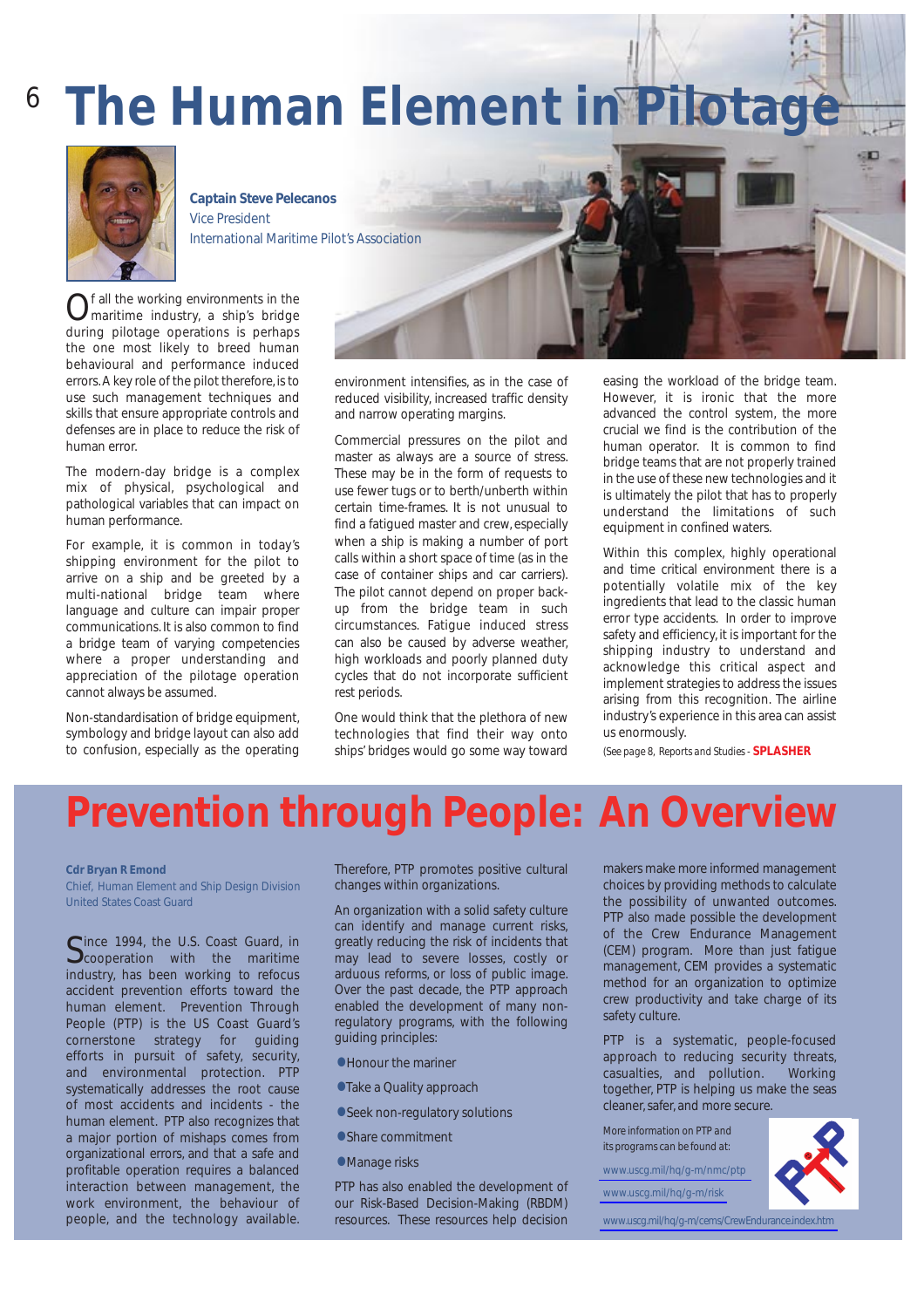# <sup>6</sup> **The Human Element in Pilotage**



**Captain Steve Pelecanos** Vice President International Maritime Pilot's Association

Of all the working environments in the maritime industry, a ship's bridge during pilotage operations is perhaps the one most likely to breed human behavioural and performance induced errors. A key role of the pilot therefore, is to use such management techniques and skills that ensure appropriate controls and defenses are in place to reduce the risk of human error.

The modern-day bridge is a complex mix of physical, psychological and pathological variables that can impact on human performance.

For example, it is common in today's shipping environment for the pilot to arrive on a ship and be greeted by a multi-national bridge team where language and culture can impair proper communications. It is also common to find a bridge team of varying competencies where a proper understanding and appreciation of the pilotage operation cannot always be assumed.

Non-standardisation of bridge equipment, symbology and bridge layout can also add to confusion, especially as the operating environment intensifies, as in the case of reduced visibility, increased traffic density and narrow operating margins.

Commercial pressures on the pilot and master as always are a source of stress. These may be in the form of requests to use fewer tugs or to berth/unberth within certain time-frames. It is not unusual to find a fatigued master and crew, especially when a ship is making a number of port calls within a short space of time (as in the case of container ships and car carriers). The pilot cannot depend on proper backup from the bridge team in such circumstances. Fatigue induced stress can also be caused by adverse weather, high workloads and poorly planned duty cycles that do not incorporate sufficient rest periods.

One would think that the plethora of new technologies that find their way onto ships' bridges would go some way toward easing the workload of the bridge team. However, it is ironic that the more advanced the control system, the more crucial we find is the contribution of the human operator. It is common to find bridge teams that are not properly trained in the use of these new technologies and it is ultimately the pilot that has to properly understand the limitations of such equipment in confined waters.

Within this complex, highly operational and time critical environment there is a potentially volatile mix of the key ingredients that lead to the classic human error type accidents. In order to improve safety and efficiency, it is important for the shipping industry to understand and acknowledge this critical aspect and implement strategies to address the issues arising from this recognition. The airline industry's experience in this area can assist us enormously.

*(See page 8, Reports and Studies -* **SPLASHER**

## **Prevention through People: An Overview**

**Cdr Bryan R Emond**

Chief, Human Element and Ship Design Division United States Coast Guard

Since 1994, the U.S. Coast Guard, in<br>Cooperation with the maritime industry, has been working to refocus accident prevention efforts toward the human element. Prevention Through People (PTP) is the US Coast Guard's cornerstone strategy for guiding efforts in pursuit of safety, security, and environmental protection. PTP systematically addresses the root cause of most accidents and incidents - the human element. PTP also recognizes that a major portion of mishaps comes from organizational errors, and that a safe and profitable operation requires a balanced interaction between management, the work environment, the behaviour of people, and the technology available.

Therefore, PTP promotes positive cultural changes within organizations.

An organization with a solid safety culture can identify and manage current risks, greatly reducing the risk of incidents that may lead to severe losses, costly or arduous reforms, or loss of public image. Over the past decade, the PTP approach enabled the development of many nonregulatory programs, with the following guiding principles:

- **•** Honour the mariner
- **•** Take a Quality approach
- **•** Seek non-regulatory solutions
- **•** Share commitment
- **•** Manage risks

PTP has also enabled the development of our Risk-Based Decision-Making (RBDM) resources. These resources help decision makers make more informed management choices by providing methods to calculate the possibility of unwanted outcomes. PTP also made possible the development of the Crew Endurance Management (CEM) program. More than just fatigue management, CEM provides a systematic method for an organization to optimize crew productivity and take charge of its safety culture.

PTP is a systematic, people-focused approach to reducing security threats, casualties, and pollution. Working together, PTP is helping us make the seas cleaner, safer, and more secure.

*More information on PTP and its programs can be found at:*

<www.uscg.mil/hq/g-m/nmc/ptp> <www.uscg.mil/hq/g-m/risk>



<www.uscg.mil/hq/g-m/cems/CrewEndurance.index.htm>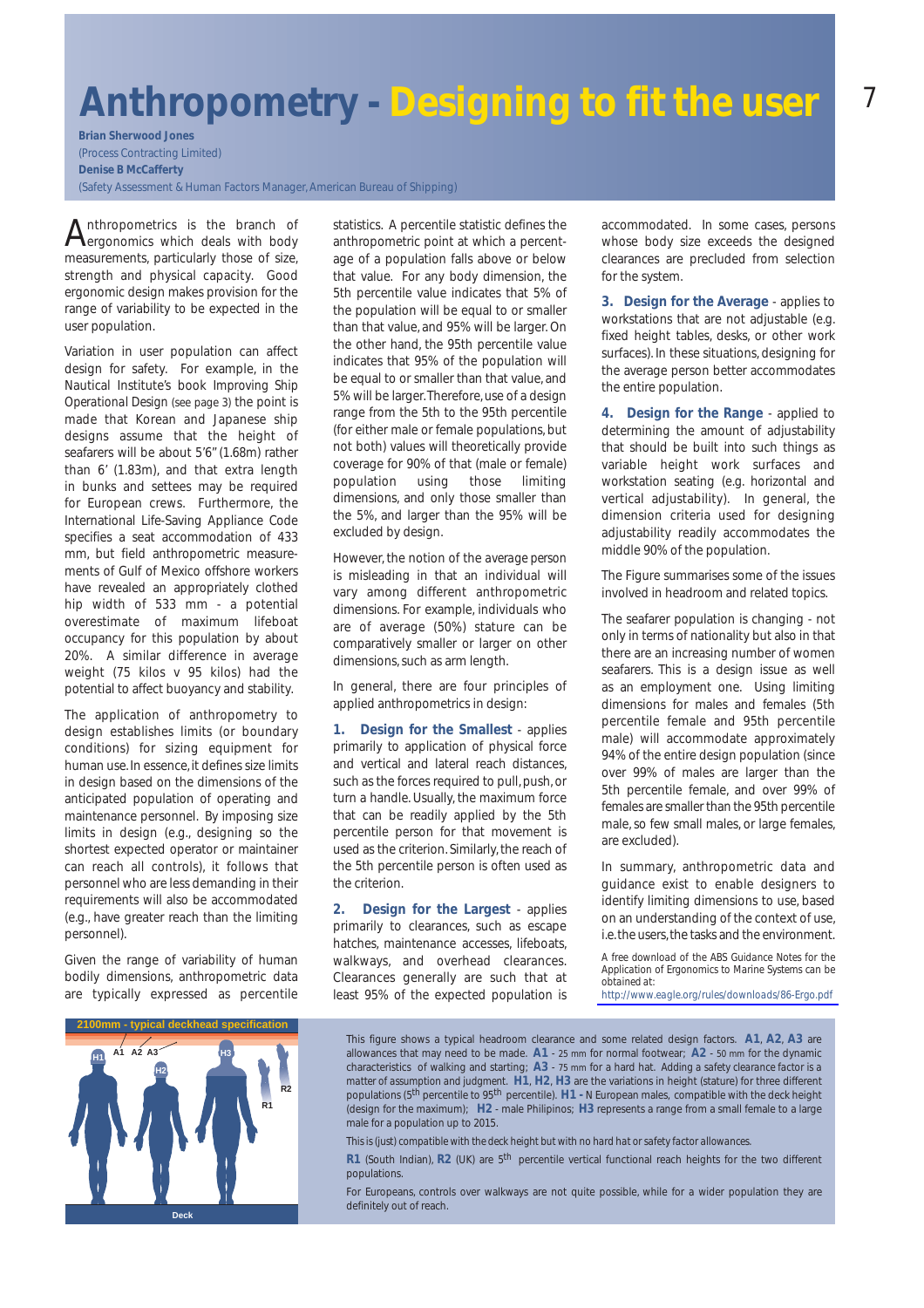### **Anthropometry - Designing to fit the user**

**Brian Sherwood Jones**  (Process Contracting Limited) **Denise B McCafferty**  (Safety Assessment & Human Factors Manager, American Bureau of Shipping)

Anthropometrics is the branch of<br>ergonomics which deals with body measurements, particularly those of size, strength and physical capacity. Good ergonomic design makes provision for the range of variability to be expected in the user population.

Variation in user population can affect design for safety. For example, in the Nautical Institute's book *Improving Ship Operational Design* (see page 3) the point is made that Korean and Japanese ship designs assume that the height of seafarers will be about 5'6" (1.68m) rather than 6' (1.83m), and that extra length in bunks and settees may be required for European crews. Furthermore, the International Life-Saving Appliance Code specifies a seat accommodation of 433 mm, but field anthropometric measurements of Gulf of Mexico offshore workers have revealed an appropriately clothed hip width of 533 mm - a potential overestimate of maximum lifeboat occupancy for this population by about 20%. A similar difference in average weight (75 kilos v 95 kilos) had the potential to affect buoyancy and stability.

The application of anthropometry to design establishes limits (or boundary conditions) for sizing equipment for human use. In essence, it defines size limits in design based on the dimensions of the anticipated population of operating and maintenance personnel. By imposing size limits in design (e.g., designing so the shortest expected operator or maintainer can reach all controls), it follows that personnel who are less demanding in their requirements will also be accommodated (e.g., have greater reach than the limiting personnel).

Given the range of variability of human bodily dimensions, anthropometric data are typically expressed as percentile

statistics. A percentile statistic defines the anthropometric point at which a percentage of a population falls above or below that value. For any body dimension, the 5th percentile value indicates that 5% of the population will be equal to or smaller than that value, and 95% will be larger. On the other hand, the 95th percentile value indicates that 95% of the population will be equal to or smaller than that value, and 5% will be larger.Therefore, use of a design range from the 5th to the 95th percentile (for either male or female populations, but not both) values will theoretically provide coverage for 90% of that (male or female) population using those limiting dimensions, and only those smaller than the 5%, and larger than the 95% will be excluded by design.

However, the notion of the *average person* is misleading in that an individual will vary among different anthropometric dimensions. For example, individuals who are of average (50%) stature can be comparatively smaller or larger on other dimensions, such as arm length.

In general, there are four principles of applied anthropometrics in design:

**1. Design for the Smallest** - applies primarily to application of physical force and vertical and lateral reach distances, such as the forces required to pull, push, or turn a handle. Usually, the maximum force that can be readily applied by the 5th percentile person for that movement is used as the criterion. Similarly, the reach of the 5th percentile person is often used as the criterion.

**2. Design for the Largest** - applies primarily to clearances, such as escape hatches, maintenance accesses, lifeboats, walkways, and overhead clearances. Clearances generally are such that at least 95% of the expected population is

accommodated. In some cases, persons whose body size exceeds the designed clearances are precluded from selection for the system.

**3. Design for the Average** - applies to workstations that are not adjustable (e.g. fixed height tables, desks, or other work surfaces). In these situations, designing for the average person better accommodates the entire population.

**4. Design for the Range** - applied to determining the amount of adjustability that should be built into such things as variable height work surfaces and workstation seating (e.g. horizontal and vertical adjustability). In general, the dimension criteria used for designing adjustability readily accommodates the middle 90% of the population.

The Figure summarises some of the issues involved in headroom and related topics.

The seafarer population is changing - not only in terms of nationality but also in that there are an increasing number of women seafarers. This is a design issue as well as an employment one. Using limiting dimensions for males and females (5th percentile female and 95th percentile male) will accommodate approximately 94% of the entire design population (since over 99% of males are larger than the 5th percentile female, and over 99% of females are smaller than the 95th percentile male, so few small males, or large females, are excluded).

In summary, anthropometric data and guidance exist to enable designers to identify limiting dimensions to use, based on an understanding of the context of use, i.e. the users, the tasks and the environment.

*A free download of the ABS Guidance Notes for the Application of Ergonomics to Marine Systems can be obtained at:*

*<http://www.eagle.org/rules/downloads/86-Ergo.pdf>*



This figure shows a typical headroom clearance and some related design factors. **A1**, **A2**, **A3** are allowances that may need to be made. **A1** - 25 mm for normal footwear; **A2** - 50 mm for the dynamic characteristics of walking and starting; **A3** - 75 mm for a hard hat. *Adding a safety clearance factor is a matter of assumption and judgment.* **H1**, **H2**, **H3** are the variations in height (stature) for three different populations (5th percentile to 95th percentile). **H1 -** N European males, compatible with the deck height (design for the maximum); **H2** - male Philipinos; **H3** represents a range from a small female to a large male for a population up to 2015.

*This is (just) compatible with the deck height but with no hard hat or safety factor allowances.*

**R1** (South Indian), **R2** (UK) are 5th percentile vertical functional reach heights for the two different populations.

For Europeans, controls over walkways are not quite possible, while for a wider population they are definitely out of reach.